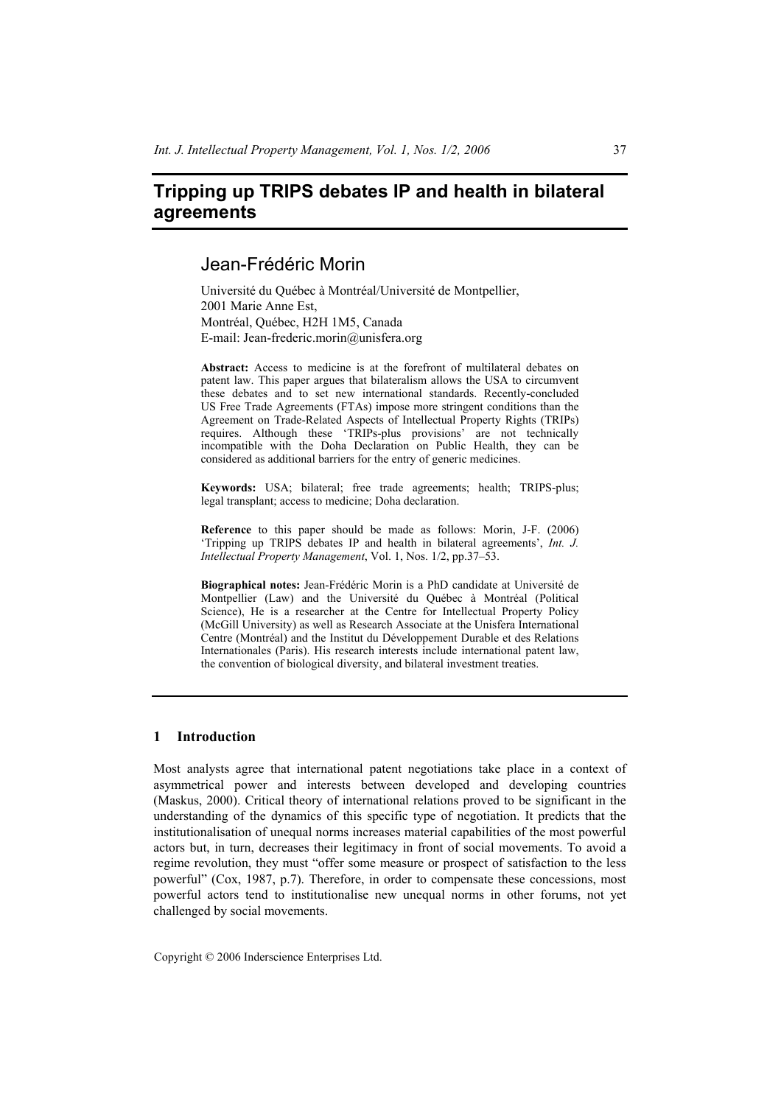# **Tripping up TRIPS debates IP and health in bilateral agreements**

# Jean-Frédéric Morin

Université du Québec à Montréal/Université de Montpellier, 2001 Marie Anne Est, Montréal, Québec, H2H 1M5, Canada E-mail: Jean-frederic.morin@unisfera.org

**Abstract:** Access to medicine is at the forefront of multilateral debates on patent law. This paper argues that bilateralism allows the USA to circumvent these debates and to set new international standards. Recently-concluded US Free Trade Agreements (FTAs) impose more stringent conditions than the Agreement on Trade-Related Aspects of Intellectual Property Rights (TRIPs) requires. Although these 'TRIPs-plus provisions' are not technically incompatible with the Doha Declaration on Public Health, they can be considered as additional barriers for the entry of generic medicines.

**Keywords:** USA; bilateral; free trade agreements; health; TRIPS-plus; legal transplant; access to medicine; Doha declaration.

**Reference** to this paper should be made as follows: Morin, J-F. (2006) 'Tripping up TRIPS debates IP and health in bilateral agreements', *Int. J. Intellectual Property Management*, Vol. 1, Nos. 1/2, pp.37–53.

**Biographical notes:** Jean-Frédéric Morin is a PhD candidate at Université de Montpellier (Law) and the Université du Québec à Montréal (Political Science), He is a researcher at the Centre for Intellectual Property Policy (McGill University) as well as Research Associate at the Unisfera International Centre (Montréal) and the Institut du Développement Durable et des Relations Internationales (Paris). His research interests include international patent law, the convention of biological diversity, and bilateral investment treaties.

# **1 Introduction**

Most analysts agree that international patent negotiations take place in a context of asymmetrical power and interests between developed and developing countries (Maskus, 2000). Critical theory of international relations proved to be significant in the understanding of the dynamics of this specific type of negotiation. It predicts that the institutionalisation of unequal norms increases material capabilities of the most powerful actors but, in turn, decreases their legitimacy in front of social movements. To avoid a regime revolution, they must "offer some measure or prospect of satisfaction to the less powerful" (Cox, 1987, p.7). Therefore, in order to compensate these concessions, most powerful actors tend to institutionalise new unequal norms in other forums, not yet challenged by social movements.

Copyright © 2006 Inderscience Enterprises Ltd.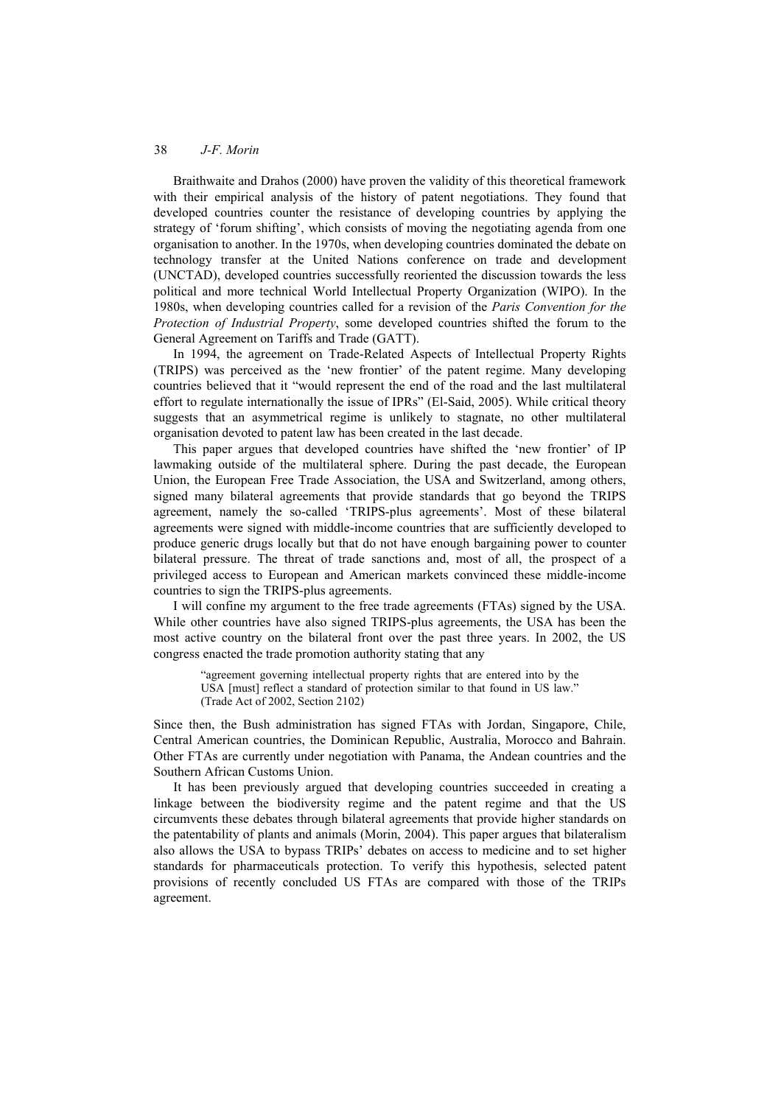Braithwaite and Drahos (2000) have proven the validity of this theoretical framework with their empirical analysis of the history of patent negotiations. They found that developed countries counter the resistance of developing countries by applying the strategy of 'forum shifting', which consists of moving the negotiating agenda from one organisation to another. In the 1970s, when developing countries dominated the debate on technology transfer at the United Nations conference on trade and development (UNCTAD), developed countries successfully reoriented the discussion towards the less political and more technical World Intellectual Property Organization (WIPO). In the 1980s, when developing countries called for a revision of the *Paris Convention for the Protection of Industrial Property*, some developed countries shifted the forum to the General Agreement on Tariffs and Trade (GATT).

In 1994, the agreement on Trade-Related Aspects of Intellectual Property Rights (TRIPS) was perceived as the 'new frontier' of the patent regime. Many developing countries believed that it "would represent the end of the road and the last multilateral effort to regulate internationally the issue of IPRs" (El-Said, 2005). While critical theory suggests that an asymmetrical regime is unlikely to stagnate, no other multilateral organisation devoted to patent law has been created in the last decade.

This paper argues that developed countries have shifted the 'new frontier' of IP lawmaking outside of the multilateral sphere. During the past decade, the European Union, the European Free Trade Association, the USA and Switzerland, among others, signed many bilateral agreements that provide standards that go beyond the TRIPS agreement, namely the so-called 'TRIPS-plus agreements'. Most of these bilateral agreements were signed with middle-income countries that are sufficiently developed to produce generic drugs locally but that do not have enough bargaining power to counter bilateral pressure. The threat of trade sanctions and, most of all, the prospect of a privileged access to European and American markets convinced these middle-income countries to sign the TRIPS-plus agreements.

I will confine my argument to the free trade agreements (FTAs) signed by the USA. While other countries have also signed TRIPS-plus agreements, the USA has been the most active country on the bilateral front over the past three years. In 2002, the US congress enacted the trade promotion authority stating that any

"agreement governing intellectual property rights that are entered into by the USA [must] reflect a standard of protection similar to that found in US law." (Trade Act of 2002, Section 2102)

Since then, the Bush administration has signed FTAs with Jordan, Singapore, Chile, Central American countries, the Dominican Republic, Australia, Morocco and Bahrain. Other FTAs are currently under negotiation with Panama, the Andean countries and the Southern African Customs Union.

It has been previously argued that developing countries succeeded in creating a linkage between the biodiversity regime and the patent regime and that the US circumvents these debates through bilateral agreements that provide higher standards on the patentability of plants and animals (Morin, 2004). This paper argues that bilateralism also allows the USA to bypass TRIPs' debates on access to medicine and to set higher standards for pharmaceuticals protection. To verify this hypothesis, selected patent provisions of recently concluded US FTAs are compared with those of the TRIPs agreement.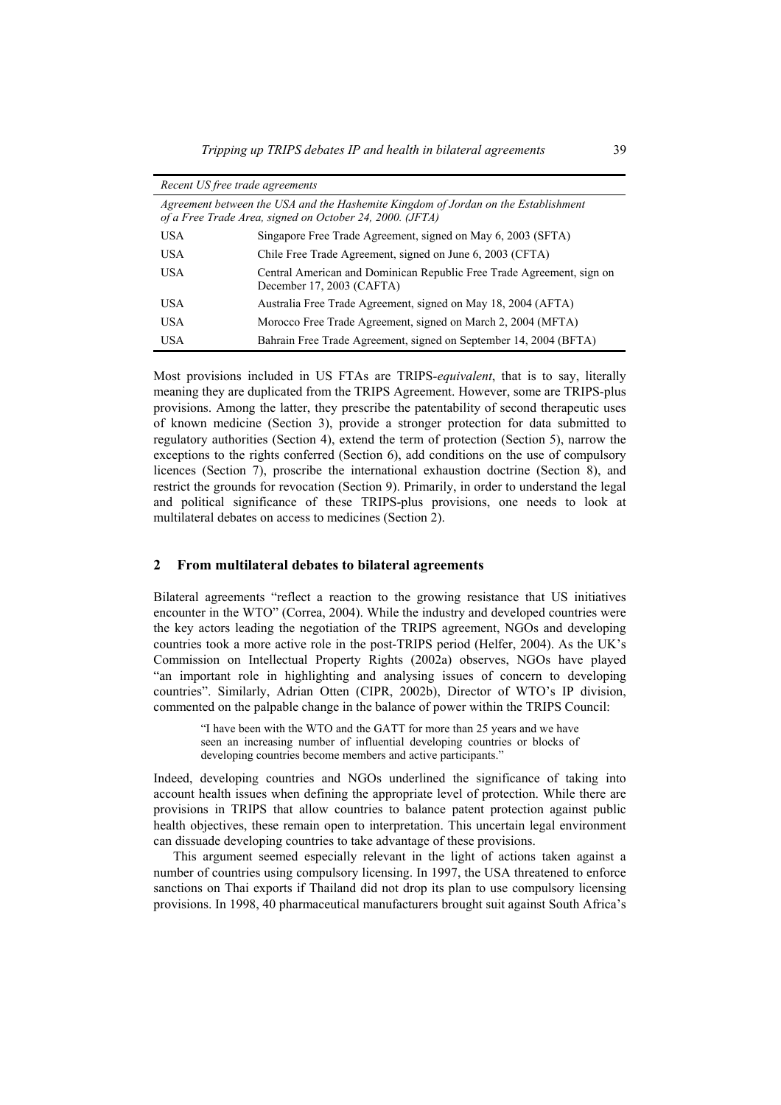| Recent US free trade agreements                                                                                                                |                                                                                                    |  |  |  |  |  |
|------------------------------------------------------------------------------------------------------------------------------------------------|----------------------------------------------------------------------------------------------------|--|--|--|--|--|
| Agreement between the USA and the Hashemite Kingdom of Jordan on the Establishment<br>of a Free Trade Area, signed on October 24, 2000. (JFTA) |                                                                                                    |  |  |  |  |  |
| <b>USA</b>                                                                                                                                     | Singapore Free Trade Agreement, signed on May 6, 2003 (SFTA)                                       |  |  |  |  |  |
| <b>USA</b>                                                                                                                                     | Chile Free Trade Agreement, signed on June 6, 2003 (CFTA)                                          |  |  |  |  |  |
| <b>USA</b>                                                                                                                                     | Central American and Dominican Republic Free Trade Agreement, sign on<br>December 17, 2003 (CAFTA) |  |  |  |  |  |
| <b>USA</b>                                                                                                                                     | Australia Free Trade Agreement, signed on May 18, 2004 (AFTA)                                      |  |  |  |  |  |
| <b>USA</b>                                                                                                                                     | Morocco Free Trade Agreement, signed on March 2, 2004 (MFTA)                                       |  |  |  |  |  |
| USA                                                                                                                                            | Bahrain Free Trade Agreement, signed on September 14, 2004 (BFTA)                                  |  |  |  |  |  |

Most provisions included in US FTAs are TRIPS*-equivalent*, that is to say, literally meaning they are duplicated from the TRIPS Agreement. However, some are TRIPS-plus provisions. Among the latter, they prescribe the patentability of second therapeutic uses of known medicine (Section 3), provide a stronger protection for data submitted to regulatory authorities (Section 4), extend the term of protection (Section 5), narrow the exceptions to the rights conferred (Section 6), add conditions on the use of compulsory licences (Section 7), proscribe the international exhaustion doctrine (Section 8), and restrict the grounds for revocation (Section 9). Primarily, in order to understand the legal and political significance of these TRIPS-plus provisions, one needs to look at multilateral debates on access to medicines (Section 2).

# **2 From multilateral debates to bilateral agreements**

Bilateral agreements "reflect a reaction to the growing resistance that US initiatives encounter in the WTO" (Correa, 2004). While the industry and developed countries were the key actors leading the negotiation of the TRIPS agreement, NGOs and developing countries took a more active role in the post-TRIPS period (Helfer, 2004). As the UK's Commission on Intellectual Property Rights (2002a) observes, NGOs have played "an important role in highlighting and analysing issues of concern to developing countries". Similarly, Adrian Otten (CIPR, 2002b), Director of WTO's IP division, commented on the palpable change in the balance of power within the TRIPS Council:

> "I have been with the WTO and the GATT for more than 25 years and we have seen an increasing number of influential developing countries or blocks of developing countries become members and active participants."

Indeed, developing countries and NGOs underlined the significance of taking into account health issues when defining the appropriate level of protection. While there are provisions in TRIPS that allow countries to balance patent protection against public health objectives, these remain open to interpretation. This uncertain legal environment can dissuade developing countries to take advantage of these provisions.

This argument seemed especially relevant in the light of actions taken against a number of countries using compulsory licensing. In 1997, the USA threatened to enforce sanctions on Thai exports if Thailand did not drop its plan to use compulsory licensing provisions. In 1998, 40 pharmaceutical manufacturers brought suit against South Africa's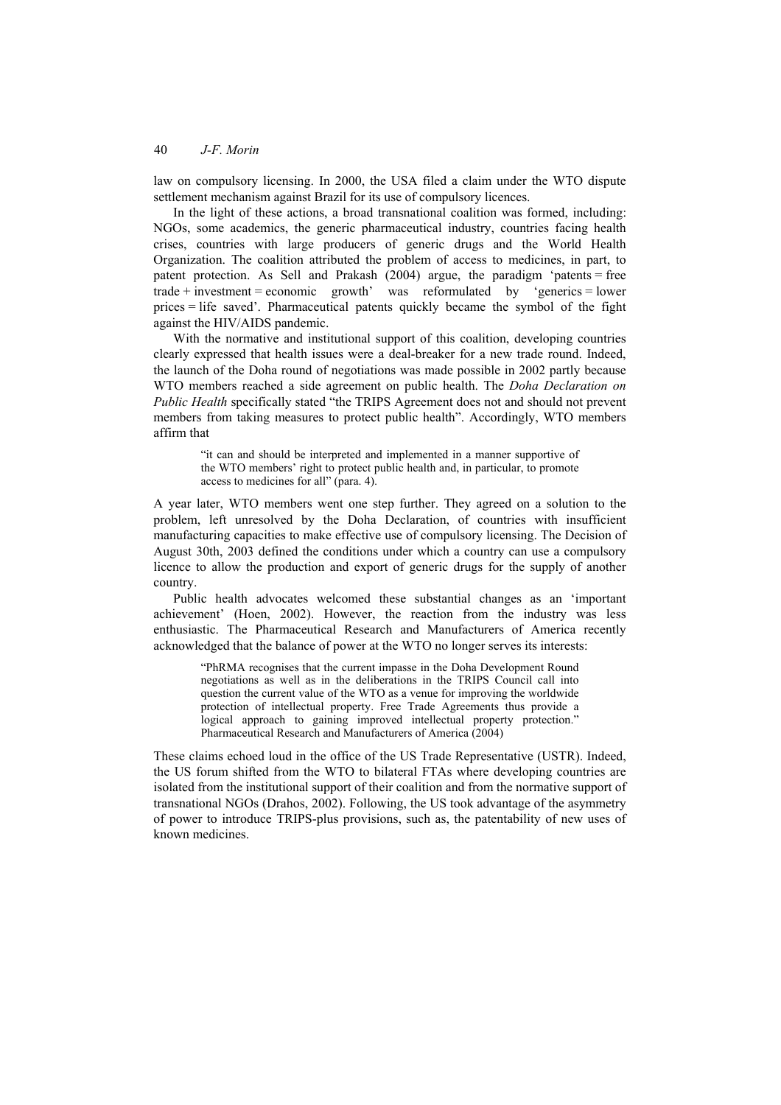law on compulsory licensing. In 2000, the USA filed a claim under the WTO dispute settlement mechanism against Brazil for its use of compulsory licences.

In the light of these actions, a broad transnational coalition was formed, including: NGOs, some academics, the generic pharmaceutical industry, countries facing health crises, countries with large producers of generic drugs and the World Health Organization. The coalition attributed the problem of access to medicines, in part, to patent protection. As Sell and Prakash (2004) argue, the paradigm 'patents = free trade + investment = economic growth' was reformulated by 'generics = lower prices = life saved'. Pharmaceutical patents quickly became the symbol of the fight against the HIV/AIDS pandemic.

With the normative and institutional support of this coalition, developing countries clearly expressed that health issues were a deal-breaker for a new trade round. Indeed, the launch of the Doha round of negotiations was made possible in 2002 partly because WTO members reached a side agreement on public health. The *Doha Declaration on Public Health* specifically stated "the TRIPS Agreement does not and should not prevent members from taking measures to protect public health". Accordingly, WTO members affirm that

> "it can and should be interpreted and implemented in a manner supportive of the WTO members' right to protect public health and, in particular, to promote access to medicines for all" (para. 4).

A year later, WTO members went one step further. They agreed on a solution to the problem, left unresolved by the Doha Declaration, of countries with insufficient manufacturing capacities to make effective use of compulsory licensing. The Decision of August 30th, 2003 defined the conditions under which a country can use a compulsory licence to allow the production and export of generic drugs for the supply of another country.

Public health advocates welcomed these substantial changes as an 'important achievement' (Hoen, 2002). However, the reaction from the industry was less enthusiastic. The Pharmaceutical Research and Manufacturers of America recently acknowledged that the balance of power at the WTO no longer serves its interests:

"PhRMA recognises that the current impasse in the Doha Development Round negotiations as well as in the deliberations in the TRIPS Council call into question the current value of the WTO as a venue for improving the worldwide protection of intellectual property. Free Trade Agreements thus provide a logical approach to gaining improved intellectual property protection." Pharmaceutical Research and Manufacturers of America (2004)

These claims echoed loud in the office of the US Trade Representative (USTR). Indeed, the US forum shifted from the WTO to bilateral FTAs where developing countries are isolated from the institutional support of their coalition and from the normative support of transnational NGOs (Drahos, 2002). Following, the US took advantage of the asymmetry of power to introduce TRIPS-plus provisions, such as, the patentability of new uses of known medicines.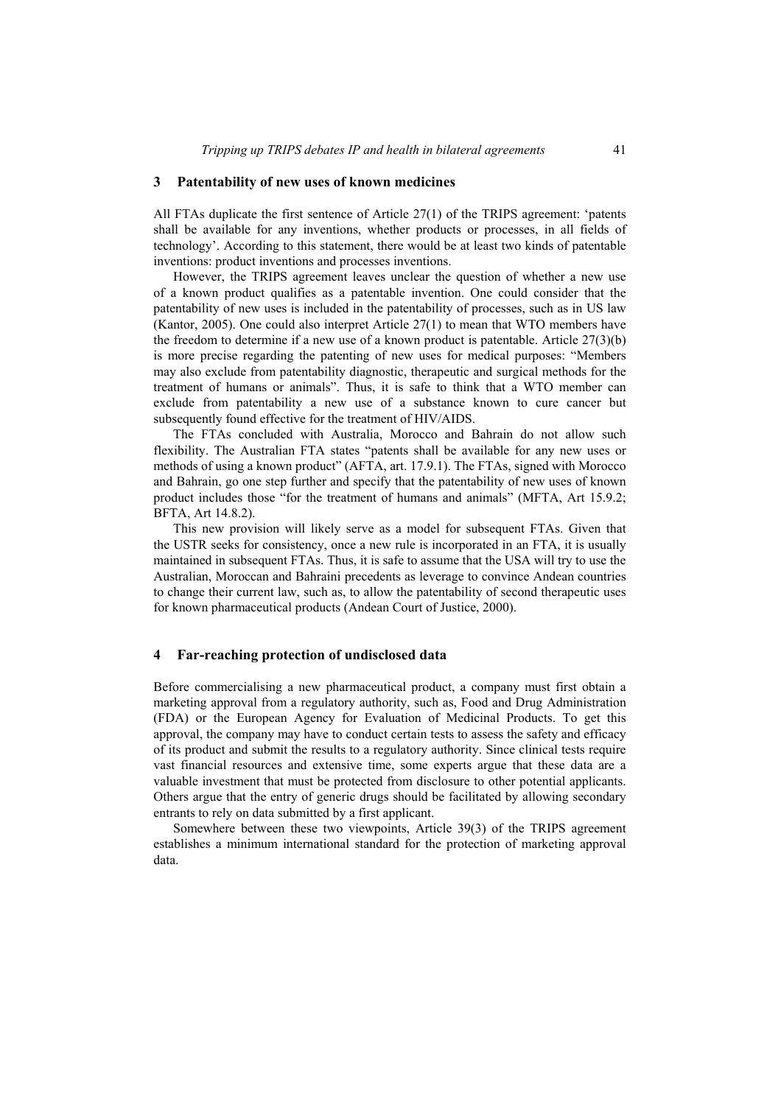# **3 Patentability of new uses of known medicines**

All FTAs duplicate the first sentence of Article 27(1) of the TRIPS agreement: 'patents shall be available for any inventions, whether products or processes, in all fields of technology'. According to this statement, there would be at least two kinds of patentable inventions: product inventions and processes inventions.

However, the TRIPS agreement leaves unclear the question of whether a new use of a known product qualifies as a patentable invention. One could consider that the patentability of new uses is included in the patentability of processes, such as in US law (Kantor, 2005). One could also interpret Article 27(1) to mean that WTO members have the freedom to determine if a new use of a known product is patentable. Article 27(3)(b) is more precise regarding the patenting of new uses for medical purposes: "Members may also exclude from patentability diagnostic, therapeutic and surgical methods for the treatment of humans or animals". Thus, it is safe to think that a WTO member can exclude from patentability a new use of a substance known to cure cancer but subsequently found effective for the treatment of HIV/AIDS.

The FTAs concluded with Australia, Morocco and Bahrain do not allow such flexibility. The Australian FTA states "patents shall be available for any new uses or methods of using a known product" (AFTA, art. 17.9.1). The FTAs, signed with Morocco and Bahrain, go one step further and specify that the patentability of new uses of known product includes those "for the treatment of humans and animals" (MFTA, Art 15.9.2; BFTA, Art 14.8.2).

This new provision will likely serve as a model for subsequent FTAs. Given that the USTR seeks for consistency, once a new rule is incorporated in an FTA, it is usually maintained in subsequent FTAs. Thus, it is safe to assume that the USA will try to use the Australian, Moroccan and Bahraini precedents as leverage to convince Andean countries to change their current law, such as, to allow the patentability of second therapeutic uses for known pharmaceutical products (Andean Court of Justice, 2000).

# **4 Far-reaching protection of undisclosed data**

Before commercialising a new pharmaceutical product, a company must first obtain a marketing approval from a regulatory authority, such as, Food and Drug Administration (FDA) or the European Agency for Evaluation of Medicinal Products. To get this approval, the company may have to conduct certain tests to assess the safety and efficacy of its product and submit the results to a regulatory authority. Since clinical tests require vast financial resources and extensive time, some experts argue that these data are a valuable investment that must be protected from disclosure to other potential applicants. Others argue that the entry of generic drugs should be facilitated by allowing secondary entrants to rely on data submitted by a first applicant.

Somewhere between these two viewpoints, Article 39(3) of the TRIPS agreement establishes a minimum international standard for the protection of marketing approval data.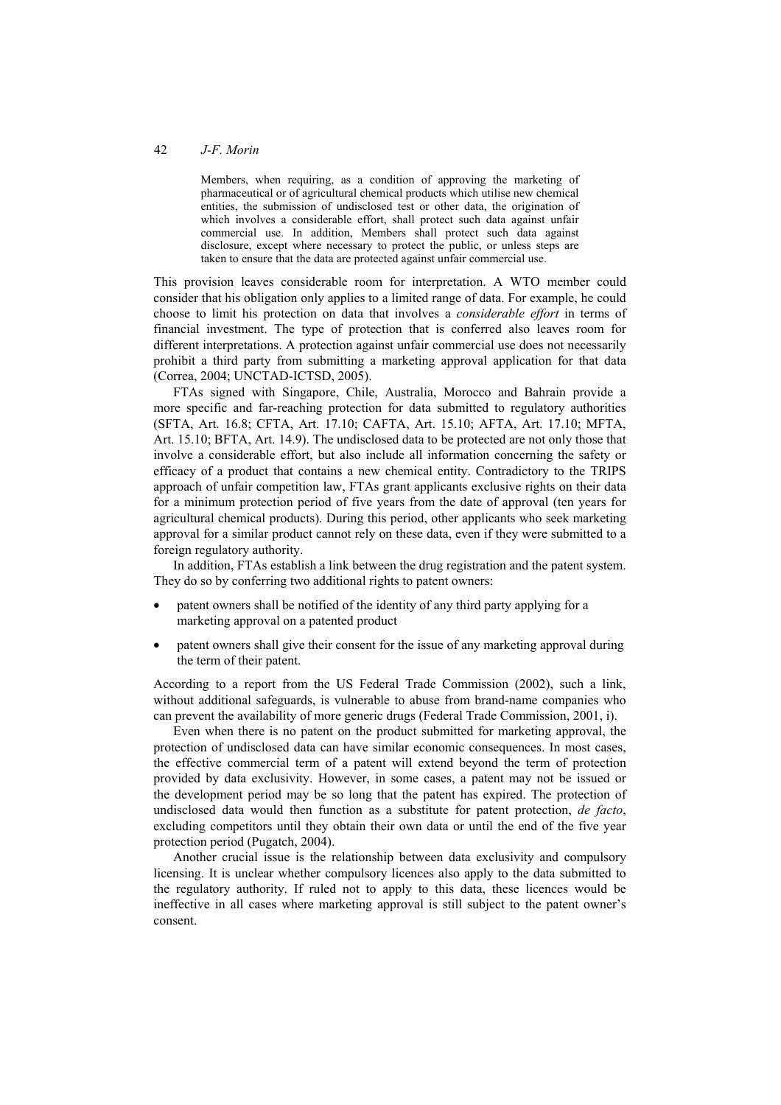Members, when requiring, as a condition of approving the marketing of pharmaceutical or of agricultural chemical products which utilise new chemical entities, the submission of undisclosed test or other data, the origination of which involves a considerable effort, shall protect such data against unfair commercial use. In addition, Members shall protect such data against disclosure, except where necessary to protect the public, or unless steps are taken to ensure that the data are protected against unfair commercial use.

This provision leaves considerable room for interpretation. A WTO member could consider that his obligation only applies to a limited range of data. For example, he could choose to limit his protection on data that involves a *considerable effort* in terms of financial investment. The type of protection that is conferred also leaves room for different interpretations. A protection against unfair commercial use does not necessarily prohibit a third party from submitting a marketing approval application for that data (Correa, 2004; UNCTAD-ICTSD, 2005).

FTAs signed with Singapore, Chile, Australia, Morocco and Bahrain provide a more specific and far-reaching protection for data submitted to regulatory authorities (SFTA, Art. 16.8; CFTA, Art. 17.10; CAFTA, Art. 15.10; AFTA, Art. 17.10; MFTA, Art. 15.10; BFTA, Art. 14.9). The undisclosed data to be protected are not only those that involve a considerable effort, but also include all information concerning the safety or efficacy of a product that contains a new chemical entity. Contradictory to the TRIPS approach of unfair competition law, FTAs grant applicants exclusive rights on their data for a minimum protection period of five years from the date of approval (ten years for agricultural chemical products). During this period, other applicants who seek marketing approval for a similar product cannot rely on these data, even if they were submitted to a foreign regulatory authority.

In addition, FTAs establish a link between the drug registration and the patent system. They do so by conferring two additional rights to patent owners:

- patent owners shall be notified of the identity of any third party applying for a marketing approval on a patented product
- patent owners shall give their consent for the issue of any marketing approval during the term of their patent.

According to a report from the US Federal Trade Commission (2002), such a link, without additional safeguards, is vulnerable to abuse from brand-name companies who can prevent the availability of more generic drugs (Federal Trade Commission, 2001, i).

Even when there is no patent on the product submitted for marketing approval, the protection of undisclosed data can have similar economic consequences. In most cases, the effective commercial term of a patent will extend beyond the term of protection provided by data exclusivity. However, in some cases, a patent may not be issued or the development period may be so long that the patent has expired. The protection of undisclosed data would then function as a substitute for patent protection, *de facto*, excluding competitors until they obtain their own data or until the end of the five year protection period (Pugatch, 2004).

Another crucial issue is the relationship between data exclusivity and compulsory licensing. It is unclear whether compulsory licences also apply to the data submitted to the regulatory authority. If ruled not to apply to this data, these licences would be ineffective in all cases where marketing approval is still subject to the patent owner's consent.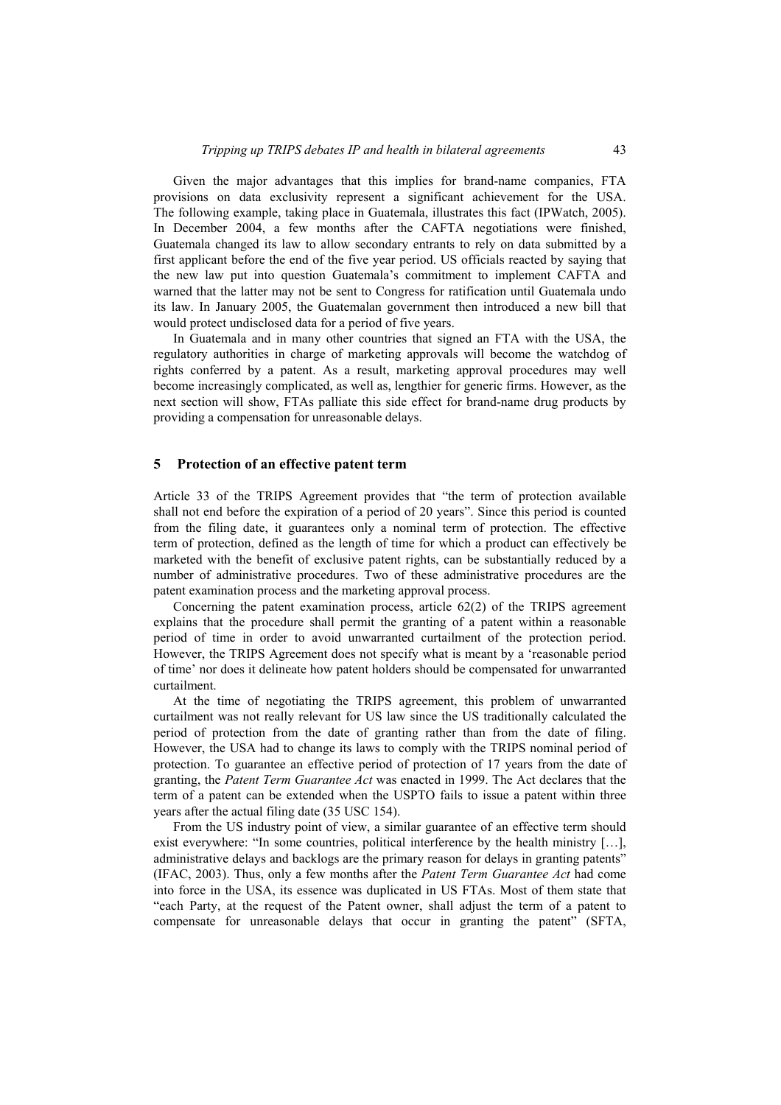Given the major advantages that this implies for brand-name companies, FTA provisions on data exclusivity represent a significant achievement for the USA. The following example, taking place in Guatemala, illustrates this fact (IPWatch, 2005). In December 2004, a few months after the CAFTA negotiations were finished, Guatemala changed its law to allow secondary entrants to rely on data submitted by a first applicant before the end of the five year period. US officials reacted by saying that the new law put into question Guatemala's commitment to implement CAFTA and warned that the latter may not be sent to Congress for ratification until Guatemala undo its law. In January 2005, the Guatemalan government then introduced a new bill that would protect undisclosed data for a period of five years.

In Guatemala and in many other countries that signed an FTA with the USA, the regulatory authorities in charge of marketing approvals will become the watchdog of rights conferred by a patent. As a result, marketing approval procedures may well become increasingly complicated, as well as, lengthier for generic firms. However, as the next section will show, FTAs palliate this side effect for brand-name drug products by providing a compensation for unreasonable delays.

#### **5 Protection of an effective patent term**

Article 33 of the TRIPS Agreement provides that "the term of protection available shall not end before the expiration of a period of 20 years". Since this period is counted from the filing date, it guarantees only a nominal term of protection. The effective term of protection, defined as the length of time for which a product can effectively be marketed with the benefit of exclusive patent rights, can be substantially reduced by a number of administrative procedures. Two of these administrative procedures are the patent examination process and the marketing approval process.

Concerning the patent examination process, article 62(2) of the TRIPS agreement explains that the procedure shall permit the granting of a patent within a reasonable period of time in order to avoid unwarranted curtailment of the protection period. However, the TRIPS Agreement does not specify what is meant by a 'reasonable period of time' nor does it delineate how patent holders should be compensated for unwarranted curtailment.

At the time of negotiating the TRIPS agreement, this problem of unwarranted curtailment was not really relevant for US law since the US traditionally calculated the period of protection from the date of granting rather than from the date of filing. However, the USA had to change its laws to comply with the TRIPS nominal period of protection. To guarantee an effective period of protection of 17 years from the date of granting, the *Patent Term Guarantee Act* was enacted in 1999. The Act declares that the term of a patent can be extended when the USPTO fails to issue a patent within three years after the actual filing date (35 USC 154).

From the US industry point of view, a similar guarantee of an effective term should exist everywhere: "In some countries, political interference by the health ministry […], administrative delays and backlogs are the primary reason for delays in granting patents" (IFAC, 2003). Thus, only a few months after the *Patent Term Guarantee Act* had come into force in the USA, its essence was duplicated in US FTAs. Most of them state that "each Party, at the request of the Patent owner, shall adjust the term of a patent to compensate for unreasonable delays that occur in granting the patent" (SFTA,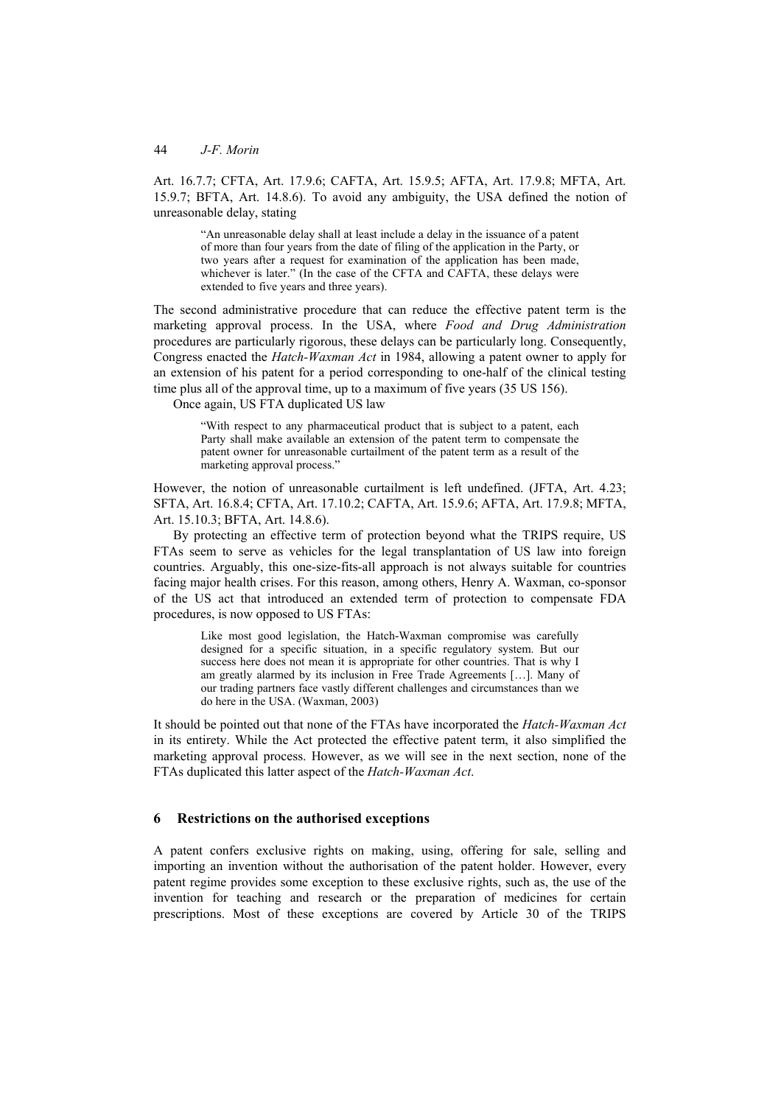Art. 16.7.7; CFTA, Art. 17.9.6; CAFTA, Art. 15.9.5; AFTA, Art. 17.9.8; MFTA, Art. 15.9.7; BFTA, Art. 14.8.6). To avoid any ambiguity, the USA defined the notion of unreasonable delay, stating

"An unreasonable delay shall at least include a delay in the issuance of a patent of more than four years from the date of filing of the application in the Party, or two years after a request for examination of the application has been made, whichever is later." (In the case of the CFTA and CAFTA, these delays were extended to five years and three years).

The second administrative procedure that can reduce the effective patent term is the marketing approval process. In the USA, where *Food and Drug Administration* procedures are particularly rigorous, these delays can be particularly long. Consequently, Congress enacted the *Hatch-Waxman Act* in 1984, allowing a patent owner to apply for an extension of his patent for a period corresponding to one-half of the clinical testing time plus all of the approval time, up to a maximum of five years (35 US 156).

Once again, US FTA duplicated US law

"With respect to any pharmaceutical product that is subject to a patent, each Party shall make available an extension of the patent term to compensate the patent owner for unreasonable curtailment of the patent term as a result of the marketing approval process."

However, the notion of unreasonable curtailment is left undefined. (JFTA, Art. 4.23; SFTA, Art. 16.8.4; CFTA, Art. 17.10.2; CAFTA, Art. 15.9.6; AFTA, Art. 17.9.8; MFTA, Art. 15.10.3; BFTA, Art. 14.8.6).

By protecting an effective term of protection beyond what the TRIPS require, US FTAs seem to serve as vehicles for the legal transplantation of US law into foreign countries. Arguably, this one-size-fits-all approach is not always suitable for countries facing major health crises. For this reason, among others, Henry A. Waxman, co-sponsor of the US act that introduced an extended term of protection to compensate FDA procedures, is now opposed to US FTAs:

Like most good legislation, the Hatch-Waxman compromise was carefully designed for a specific situation, in a specific regulatory system. But our success here does not mean it is appropriate for other countries. That is why I am greatly alarmed by its inclusion in Free Trade Agreements […]. Many of our trading partners face vastly different challenges and circumstances than we do here in the USA. (Waxman, 2003)

It should be pointed out that none of the FTAs have incorporated the *Hatch-Waxman Act*  in its entirety. While the Act protected the effective patent term, it also simplified the marketing approval process. However, as we will see in the next section, none of the FTAs duplicated this latter aspect of the *Hatch-Waxman Act*.

# **6 Restrictions on the authorised exceptions**

A patent confers exclusive rights on making, using, offering for sale, selling and importing an invention without the authorisation of the patent holder. However, every patent regime provides some exception to these exclusive rights, such as, the use of the invention for teaching and research or the preparation of medicines for certain prescriptions. Most of these exceptions are covered by Article 30 of the TRIPS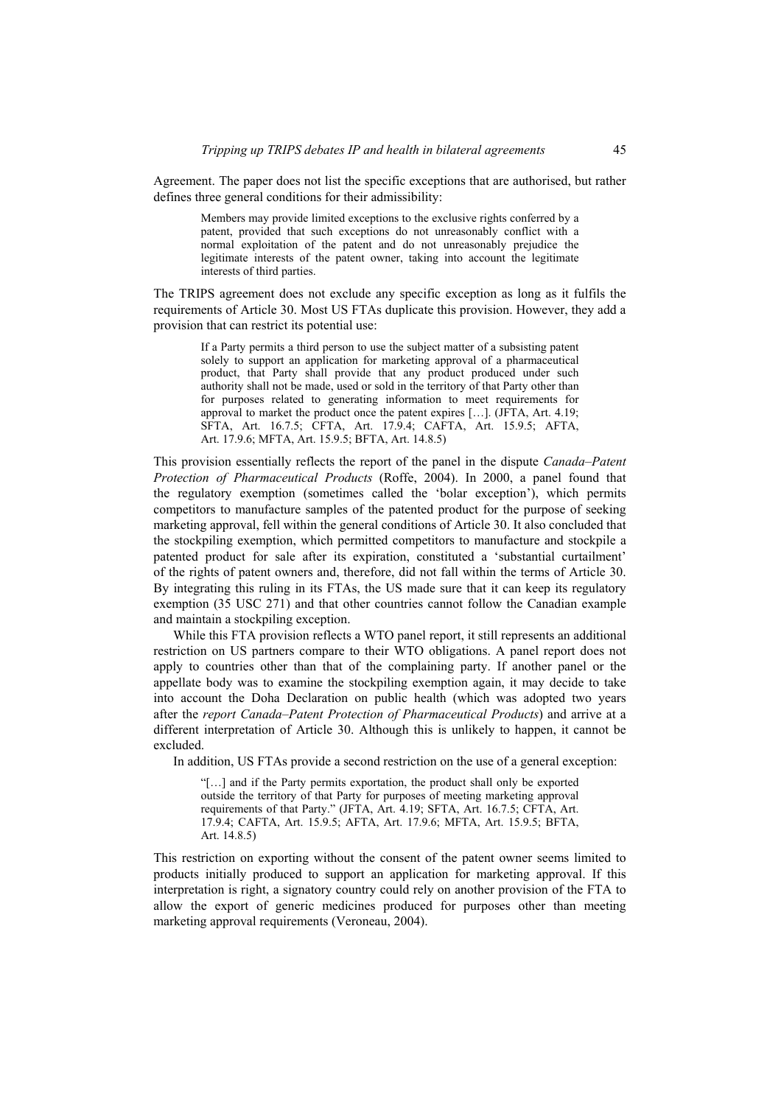Agreement. The paper does not list the specific exceptions that are authorised, but rather defines three general conditions for their admissibility:

Members may provide limited exceptions to the exclusive rights conferred by a patent, provided that such exceptions do not unreasonably conflict with a normal exploitation of the patent and do not unreasonably prejudice the legitimate interests of the patent owner, taking into account the legitimate interests of third parties.

The TRIPS agreement does not exclude any specific exception as long as it fulfils the requirements of Article 30. Most US FTAs duplicate this provision. However, they add a provision that can restrict its potential use:

> If a Party permits a third person to use the subject matter of a subsisting patent solely to support an application for marketing approval of a pharmaceutical product, that Party shall provide that any product produced under such authority shall not be made, used or sold in the territory of that Party other than for purposes related to generating information to meet requirements for approval to market the product once the patent expires […]. (JFTA, Art. 4.19; SFTA, Art. 16.7.5; CFTA, Art. 17.9.4; CAFTA, Art. 15.9.5; AFTA, Art. 17.9.6; MFTA, Art. 15.9.5; BFTA, Art. 14.8.5)

This provision essentially reflects the report of the panel in the dispute *Canada–Patent Protection of Pharmaceutical Products* (Roffe, 2004). In 2000, a panel found that the regulatory exemption (sometimes called the 'bolar exception'), which permits competitors to manufacture samples of the patented product for the purpose of seeking marketing approval, fell within the general conditions of Article 30. It also concluded that the stockpiling exemption, which permitted competitors to manufacture and stockpile a patented product for sale after its expiration, constituted a 'substantial curtailment' of the rights of patent owners and, therefore, did not fall within the terms of Article 30. By integrating this ruling in its FTAs, the US made sure that it can keep its regulatory exemption (35 USC 271) and that other countries cannot follow the Canadian example and maintain a stockpiling exception.

While this FTA provision reflects a WTO panel report, it still represents an additional restriction on US partners compare to their WTO obligations. A panel report does not apply to countries other than that of the complaining party. If another panel or the appellate body was to examine the stockpiling exemption again, it may decide to take into account the Doha Declaration on public health (which was adopted two years after the *report Canada–Patent Protection of Pharmaceutical Products*) and arrive at a different interpretation of Article 30. Although this is unlikely to happen, it cannot be excluded.

In addition, US FTAs provide a second restriction on the use of a general exception:

"[…] and if the Party permits exportation, the product shall only be exported outside the territory of that Party for purposes of meeting marketing approval requirements of that Party." (JFTA, Art. 4.19; SFTA, Art. 16.7.5; CFTA, Art. 17.9.4; CAFTA, Art. 15.9.5; AFTA, Art. 17.9.6; MFTA, Art. 15.9.5; BFTA, Art. 14.8.5)

This restriction on exporting without the consent of the patent owner seems limited to products initially produced to support an application for marketing approval. If this interpretation is right, a signatory country could rely on another provision of the FTA to allow the export of generic medicines produced for purposes other than meeting marketing approval requirements (Veroneau, 2004).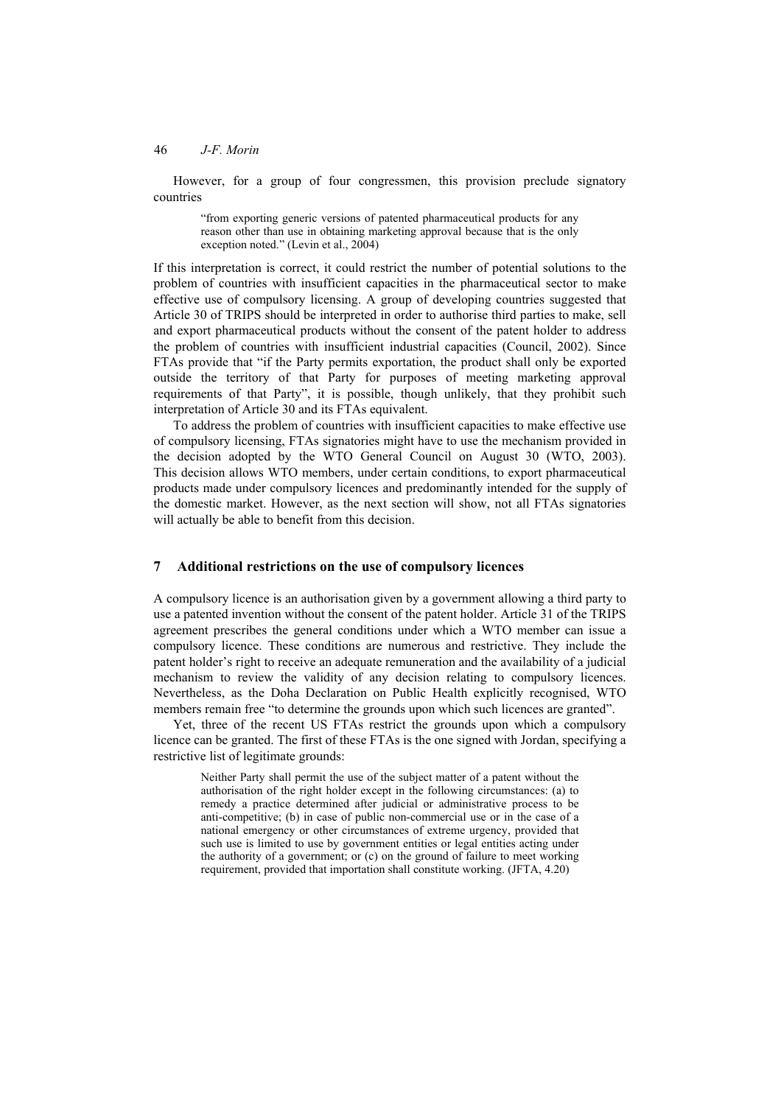However, for a group of four congressmen, this provision preclude signatory countries

> "from exporting generic versions of patented pharmaceutical products for any reason other than use in obtaining marketing approval because that is the only exception noted." (Levin et al., 2004)

If this interpretation is correct, it could restrict the number of potential solutions to the problem of countries with insufficient capacities in the pharmaceutical sector to make effective use of compulsory licensing. A group of developing countries suggested that Article 30 of TRIPS should be interpreted in order to authorise third parties to make, sell and export pharmaceutical products without the consent of the patent holder to address the problem of countries with insufficient industrial capacities (Council, 2002). Since FTAs provide that "if the Party permits exportation, the product shall only be exported outside the territory of that Party for purposes of meeting marketing approval requirements of that Party", it is possible, though unlikely, that they prohibit such interpretation of Article 30 and its FTAs equivalent.

To address the problem of countries with insufficient capacities to make effective use of compulsory licensing, FTAs signatories might have to use the mechanism provided in the decision adopted by the WTO General Council on August 30 (WTO, 2003). This decision allows WTO members, under certain conditions, to export pharmaceutical products made under compulsory licences and predominantly intended for the supply of the domestic market. However, as the next section will show, not all FTAs signatories will actually be able to benefit from this decision.

#### **7 Additional restrictions on the use of compulsory licences**

A compulsory licence is an authorisation given by a government allowing a third party to use a patented invention without the consent of the patent holder. Article 31 of the TRIPS agreement prescribes the general conditions under which a WTO member can issue a compulsory licence. These conditions are numerous and restrictive. They include the patent holder's right to receive an adequate remuneration and the availability of a judicial mechanism to review the validity of any decision relating to compulsory licences. Nevertheless, as the Doha Declaration on Public Health explicitly recognised, WTO members remain free "to determine the grounds upon which such licences are granted".

Yet, three of the recent US FTAs restrict the grounds upon which a compulsory licence can be granted. The first of these FTAs is the one signed with Jordan, specifying a restrictive list of legitimate grounds:

Neither Party shall permit the use of the subject matter of a patent without the authorisation of the right holder except in the following circumstances: (a) to remedy a practice determined after judicial or administrative process to be anti-competitive; (b) in case of public non-commercial use or in the case of a national emergency or other circumstances of extreme urgency, provided that such use is limited to use by government entities or legal entities acting under the authority of a government; or (c) on the ground of failure to meet working requirement, provided that importation shall constitute working. (JFTA, 4.20)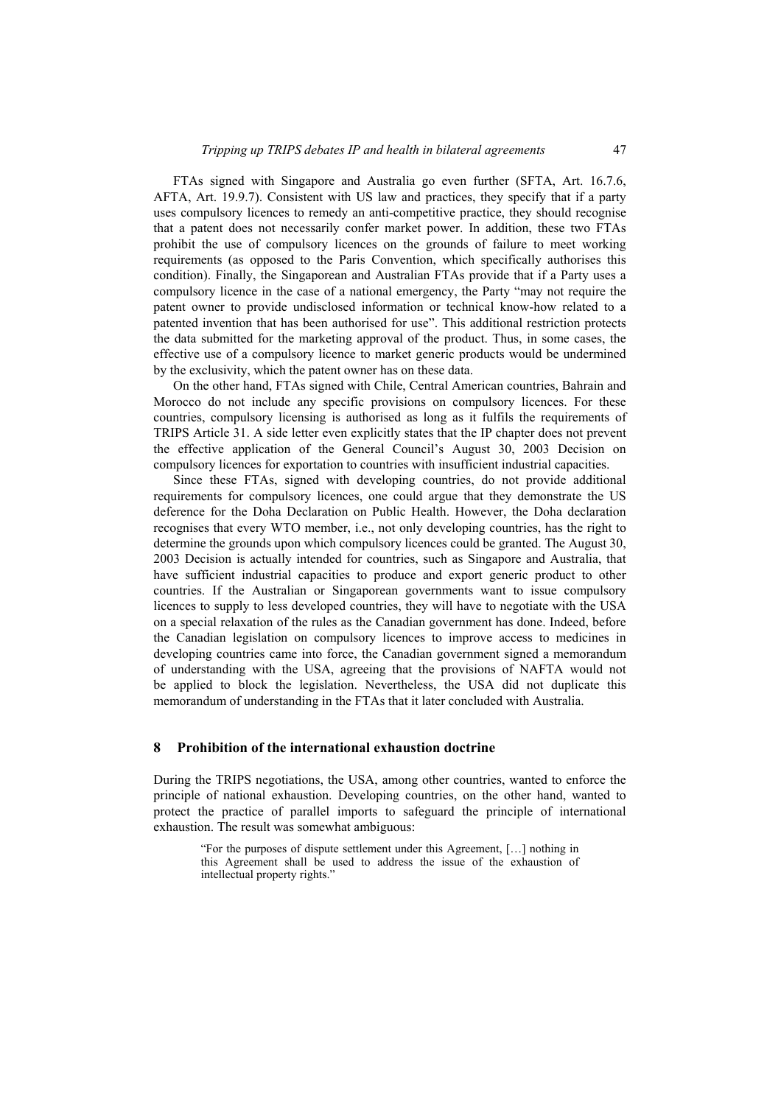FTAs signed with Singapore and Australia go even further (SFTA, Art. 16.7.6, AFTA, Art. 19.9.7). Consistent with US law and practices, they specify that if a party uses compulsory licences to remedy an anti-competitive practice, they should recognise that a patent does not necessarily confer market power. In addition, these two FTAs prohibit the use of compulsory licences on the grounds of failure to meet working requirements (as opposed to the Paris Convention, which specifically authorises this condition). Finally, the Singaporean and Australian FTAs provide that if a Party uses a compulsory licence in the case of a national emergency, the Party "may not require the patent owner to provide undisclosed information or technical know-how related to a patented invention that has been authorised for use". This additional restriction protects the data submitted for the marketing approval of the product. Thus, in some cases, the effective use of a compulsory licence to market generic products would be undermined by the exclusivity, which the patent owner has on these data.

On the other hand, FTAs signed with Chile, Central American countries, Bahrain and Morocco do not include any specific provisions on compulsory licences. For these countries, compulsory licensing is authorised as long as it fulfils the requirements of TRIPS Article 31. A side letter even explicitly states that the IP chapter does not prevent the effective application of the General Council's August 30, 2003 Decision on compulsory licences for exportation to countries with insufficient industrial capacities.

Since these FTAs, signed with developing countries, do not provide additional requirements for compulsory licences, one could argue that they demonstrate the US deference for the Doha Declaration on Public Health. However, the Doha declaration recognises that every WTO member, i.e., not only developing countries, has the right to determine the grounds upon which compulsory licences could be granted. The August 30, 2003 Decision is actually intended for countries, such as Singapore and Australia, that have sufficient industrial capacities to produce and export generic product to other countries. If the Australian or Singaporean governments want to issue compulsory licences to supply to less developed countries, they will have to negotiate with the USA on a special relaxation of the rules as the Canadian government has done. Indeed, before the Canadian legislation on compulsory licences to improve access to medicines in developing countries came into force, the Canadian government signed a memorandum of understanding with the USA, agreeing that the provisions of NAFTA would not be applied to block the legislation. Nevertheless, the USA did not duplicate this memorandum of understanding in the FTAs that it later concluded with Australia.

# **8 Prohibition of the international exhaustion doctrine**

During the TRIPS negotiations, the USA, among other countries, wanted to enforce the principle of national exhaustion. Developing countries, on the other hand, wanted to protect the practice of parallel imports to safeguard the principle of international exhaustion. The result was somewhat ambiguous:

"For the purposes of dispute settlement under this Agreement, […] nothing in this Agreement shall be used to address the issue of the exhaustion of intellectual property rights."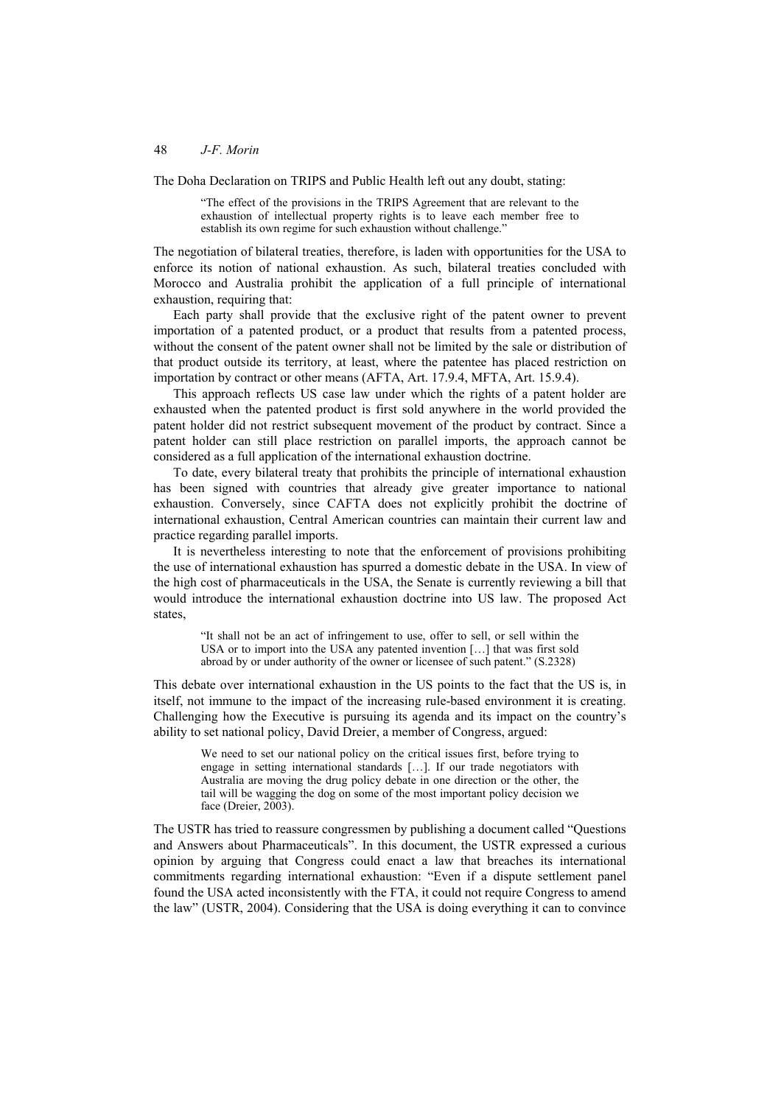The Doha Declaration on TRIPS and Public Health left out any doubt, stating:

"The effect of the provisions in the TRIPS Agreement that are relevant to the exhaustion of intellectual property rights is to leave each member free to establish its own regime for such exhaustion without challenge."

The negotiation of bilateral treaties, therefore, is laden with opportunities for the USA to enforce its notion of national exhaustion. As such, bilateral treaties concluded with Morocco and Australia prohibit the application of a full principle of international exhaustion, requiring that:

Each party shall provide that the exclusive right of the patent owner to prevent importation of a patented product, or a product that results from a patented process, without the consent of the patent owner shall not be limited by the sale or distribution of that product outside its territory, at least, where the patentee has placed restriction on importation by contract or other means (AFTA, Art. 17.9.4, MFTA, Art. 15.9.4).

This approach reflects US case law under which the rights of a patent holder are exhausted when the patented product is first sold anywhere in the world provided the patent holder did not restrict subsequent movement of the product by contract. Since a patent holder can still place restriction on parallel imports, the approach cannot be considered as a full application of the international exhaustion doctrine.

To date, every bilateral treaty that prohibits the principle of international exhaustion has been signed with countries that already give greater importance to national exhaustion. Conversely, since CAFTA does not explicitly prohibit the doctrine of international exhaustion, Central American countries can maintain their current law and practice regarding parallel imports.

It is nevertheless interesting to note that the enforcement of provisions prohibiting the use of international exhaustion has spurred a domestic debate in the USA. In view of the high cost of pharmaceuticals in the USA, the Senate is currently reviewing a bill that would introduce the international exhaustion doctrine into US law. The proposed Act states,

"It shall not be an act of infringement to use, offer to sell, or sell within the USA or to import into the USA any patented invention […] that was first sold abroad by or under authority of the owner or licensee of such patent." (S.2328)

This debate over international exhaustion in the US points to the fact that the US is, in itself, not immune to the impact of the increasing rule-based environment it is creating. Challenging how the Executive is pursuing its agenda and its impact on the country's ability to set national policy, David Dreier, a member of Congress, argued:

> We need to set our national policy on the critical issues first, before trying to engage in setting international standards […]. If our trade negotiators with Australia are moving the drug policy debate in one direction or the other, the tail will be wagging the dog on some of the most important policy decision we face (Dreier, 2003).

The USTR has tried to reassure congressmen by publishing a document called "Questions and Answers about Pharmaceuticals". In this document, the USTR expressed a curious opinion by arguing that Congress could enact a law that breaches its international commitments regarding international exhaustion: "Even if a dispute settlement panel found the USA acted inconsistently with the FTA, it could not require Congress to amend the law" (USTR, 2004). Considering that the USA is doing everything it can to convince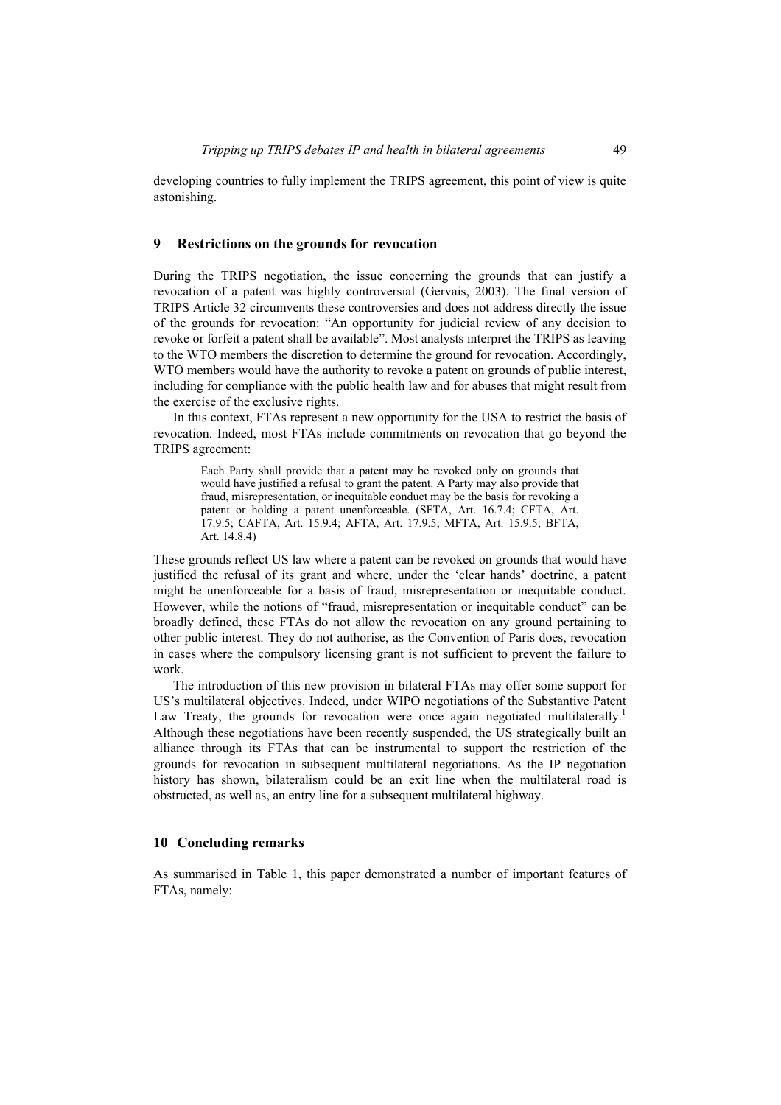developing countries to fully implement the TRIPS agreement, this point of view is quite astonishing.

#### **9 Restrictions on the grounds for revocation**

During the TRIPS negotiation, the issue concerning the grounds that can justify a revocation of a patent was highly controversial (Gervais, 2003). The final version of TRIPS Article 32 circumvents these controversies and does not address directly the issue of the grounds for revocation: "An opportunity for judicial review of any decision to revoke or forfeit a patent shall be available". Most analysts interpret the TRIPS as leaving to the WTO members the discretion to determine the ground for revocation. Accordingly, WTO members would have the authority to revoke a patent on grounds of public interest, including for compliance with the public health law and for abuses that might result from the exercise of the exclusive rights.

In this context, FTAs represent a new opportunity for the USA to restrict the basis of revocation. Indeed, most FTAs include commitments on revocation that go beyond the TRIPS agreement:

Each Party shall provide that a patent may be revoked only on grounds that would have justified a refusal to grant the patent. A Party may also provide that fraud, misrepresentation, or inequitable conduct may be the basis for revoking a patent or holding a patent unenforceable. (SFTA, Art. 16.7.4; CFTA, Art. 17.9.5; CAFTA, Art. 15.9.4; AFTA, Art. 17.9.5; MFTA, Art. 15.9.5; BFTA, Art. 14.8.4)

These grounds reflect US law where a patent can be revoked on grounds that would have justified the refusal of its grant and where, under the 'clear hands' doctrine, a patent might be unenforceable for a basis of fraud, misrepresentation or inequitable conduct. However, while the notions of "fraud, misrepresentation or inequitable conduct" can be broadly defined, these FTAs do not allow the revocation on any ground pertaining to other public interest. They do not authorise, as the Convention of Paris does, revocation in cases where the compulsory licensing grant is not sufficient to prevent the failure to work.

The introduction of this new provision in bilateral FTAs may offer some support for US's multilateral objectives. Indeed, under WIPO negotiations of the Substantive Patent Law Treaty, the grounds for revocation were once again negotiated multilaterally.<sup>1</sup> Although these negotiations have been recently suspended, the US strategically built an alliance through its FTAs that can be instrumental to support the restriction of the grounds for revocation in subsequent multilateral negotiations. As the IP negotiation history has shown, bilateralism could be an exit line when the multilateral road is obstructed, as well as, an entry line for a subsequent multilateral highway.

# **10 Concluding remarks**

As summarised in Table 1, this paper demonstrated a number of important features of FTAs, namely: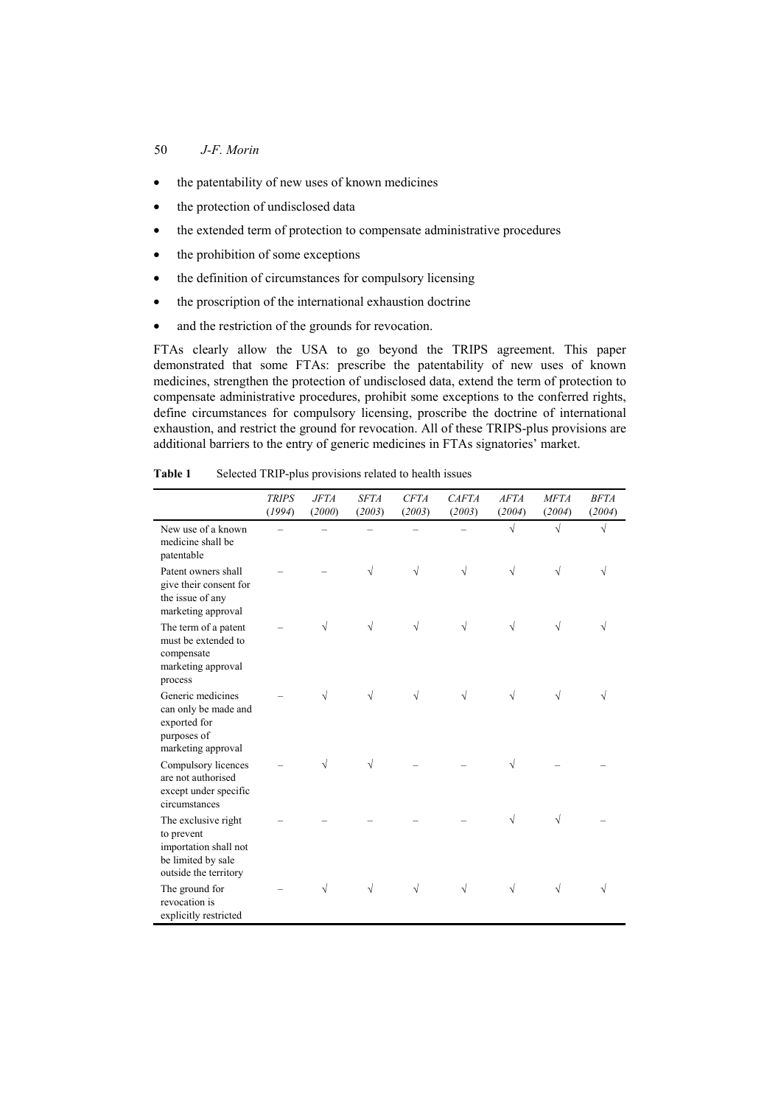- the patentability of new uses of known medicines
- the protection of undisclosed data
- the extended term of protection to compensate administrative procedures
- the prohibition of some exceptions
- the definition of circumstances for compulsory licensing
- the proscription of the international exhaustion doctrine
- and the restriction of the grounds for revocation.

FTAs clearly allow the USA to go beyond the TRIPS agreement. This paper demonstrated that some FTAs: prescribe the patentability of new uses of known medicines, strengthen the protection of undisclosed data, extend the term of protection to compensate administrative procedures, prohibit some exceptions to the conferred rights, define circumstances for compulsory licensing, proscribe the doctrine of international exhaustion, and restrict the ground for revocation. All of these TRIPS-plus provisions are additional barriers to the entry of generic medicines in FTAs signatories' market.

|                                                                                                           | <b>TRIPS</b><br>(1994) | <b>JFTA</b><br>(2000) | <b>SFTA</b><br>(2003) | <b>CFTA</b><br>(2003) | <b>CAFTA</b><br>(2003) | <b>AFTA</b><br>(2004) | <b>MFTA</b><br>(2004) | <b>BFTA</b><br>(2004) |
|-----------------------------------------------------------------------------------------------------------|------------------------|-----------------------|-----------------------|-----------------------|------------------------|-----------------------|-----------------------|-----------------------|
| New use of a known<br>medicine shall be<br>patentable                                                     |                        |                       |                       |                       |                        | $\sqrt{}$             | $\sqrt{}$             | $\sqrt{}$             |
| Patent owners shall<br>give their consent for<br>the issue of any<br>marketing approval                   |                        |                       | V                     | $\sqrt{}$             | V                      | $\sqrt{}$             |                       |                       |
| The term of a patent<br>must be extended to<br>compensate<br>marketing approval<br>process                |                        | V                     | V                     | V                     | V                      | $\sqrt{}$             |                       |                       |
| Generic medicines<br>can only be made and<br>exported for<br>purposes of<br>marketing approval            |                        | V                     | V                     | V                     | $\sqrt{}$              | $\sqrt{}$             |                       |                       |
| Compulsory licences<br>are not authorised<br>except under specific<br>circumstances                       |                        | V                     | V                     |                       |                        | $\sqrt{}$             |                       |                       |
| The exclusive right<br>to prevent<br>importation shall not<br>be limited by sale<br>outside the territory |                        |                       |                       |                       |                        | V                     |                       |                       |
| The ground for<br>revocation is<br>explicitly restricted                                                  |                        |                       | V                     | V                     |                        | V                     |                       |                       |

**Table 1** Selected TRIP-plus provisions related to health issues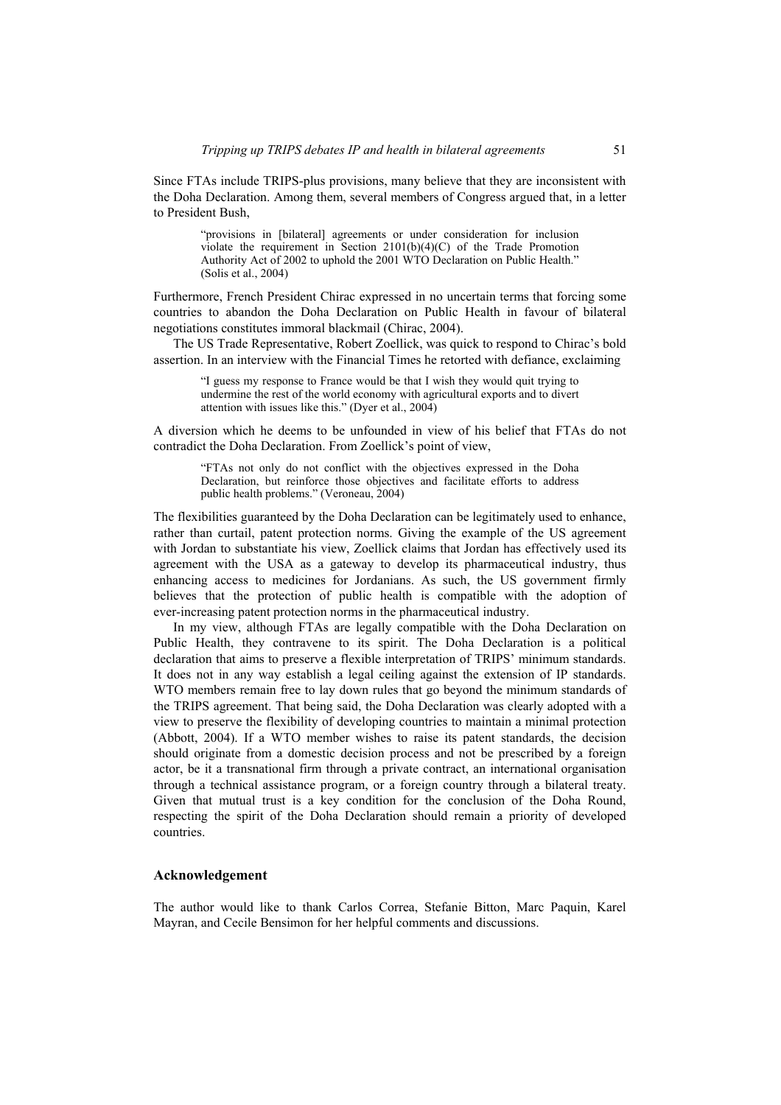Since FTAs include TRIPS-plus provisions, many believe that they are inconsistent with the Doha Declaration. Among them, several members of Congress argued that, in a letter to President Bush,

> "provisions in [bilateral] agreements or under consideration for inclusion violate the requirement in Section 2101(b)(4)(C) of the Trade Promotion Authority Act of 2002 to uphold the 2001 WTO Declaration on Public Health." (Solis et al., 2004)

Furthermore, French President Chirac expressed in no uncertain terms that forcing some countries to abandon the Doha Declaration on Public Health in favour of bilateral negotiations constitutes immoral blackmail (Chirac, 2004).

The US Trade Representative, Robert Zoellick, was quick to respond to Chirac's bold assertion. In an interview with the Financial Times he retorted with defiance, exclaiming

> "I guess my response to France would be that I wish they would quit trying to undermine the rest of the world economy with agricultural exports and to divert attention with issues like this." (Dyer et al., 2004)

A diversion which he deems to be unfounded in view of his belief that FTAs do not contradict the Doha Declaration. From Zoellick's point of view,

> "FTAs not only do not conflict with the objectives expressed in the Doha Declaration, but reinforce those objectives and facilitate efforts to address public health problems." (Veroneau, 2004)

The flexibilities guaranteed by the Doha Declaration can be legitimately used to enhance, rather than curtail, patent protection norms. Giving the example of the US agreement with Jordan to substantiate his view, Zoellick claims that Jordan has effectively used its agreement with the USA as a gateway to develop its pharmaceutical industry, thus enhancing access to medicines for Jordanians. As such, the US government firmly believes that the protection of public health is compatible with the adoption of ever-increasing patent protection norms in the pharmaceutical industry.

In my view, although FTAs are legally compatible with the Doha Declaration on Public Health, they contravene to its spirit. The Doha Declaration is a political declaration that aims to preserve a flexible interpretation of TRIPS' minimum standards. It does not in any way establish a legal ceiling against the extension of IP standards. WTO members remain free to lay down rules that go beyond the minimum standards of the TRIPS agreement. That being said, the Doha Declaration was clearly adopted with a view to preserve the flexibility of developing countries to maintain a minimal protection (Abbott, 2004). If a WTO member wishes to raise its patent standards, the decision should originate from a domestic decision process and not be prescribed by a foreign actor, be it a transnational firm through a private contract, an international organisation through a technical assistance program, or a foreign country through a bilateral treaty. Given that mutual trust is a key condition for the conclusion of the Doha Round, respecting the spirit of the Doha Declaration should remain a priority of developed countries.

# **Acknowledgement**

The author would like to thank Carlos Correa, Stefanie Bitton, Marc Paquin, Karel Mayran, and Cecile Bensimon for her helpful comments and discussions.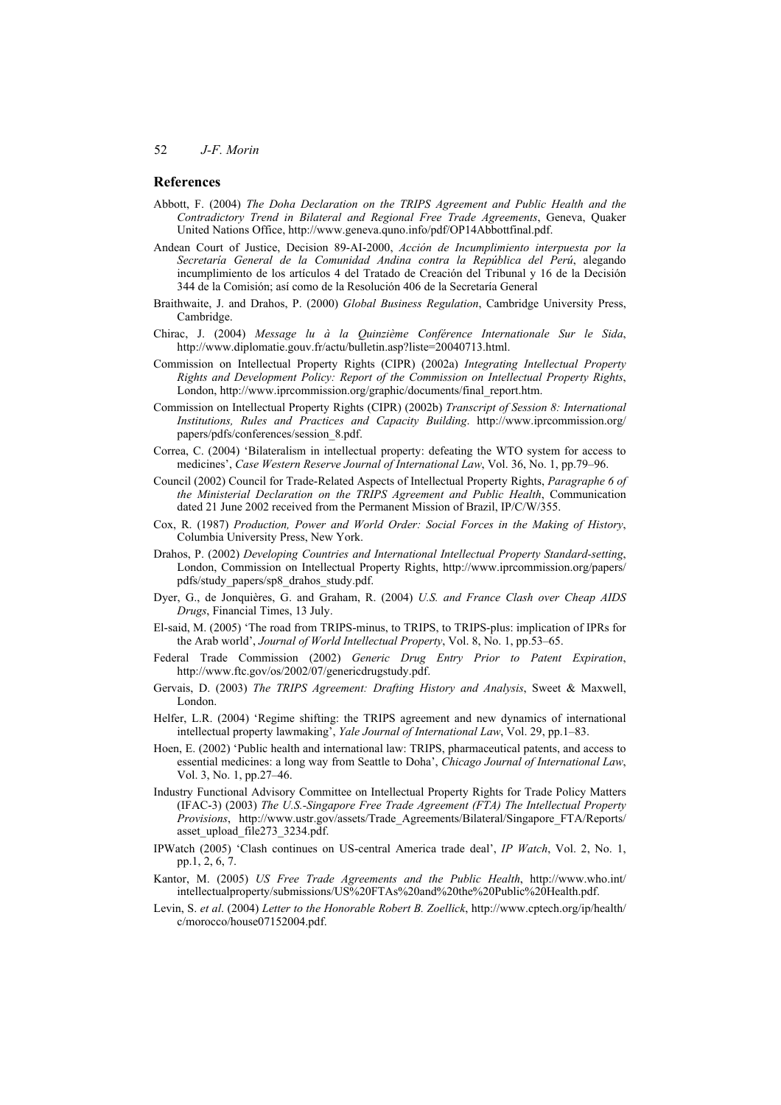#### **References**

- Abbott, F. (2004) *The Doha Declaration on the TRIPS Agreement and Public Health and the Contradictory Trend in Bilateral and Regional Free Trade Agreements*, Geneva, Quaker United Nations Office, http://www.geneva.quno.info/pdf/OP14Abbottfinal.pdf.
- Andean Court of Justice, Decision 89-AI-2000, *Acción de Incumplimiento interpuesta por la Secretaría General de la Comunidad Andina contra la República del Perú*, alegando incumplimiento de los artículos 4 del Tratado de Creación del Tribunal y 16 de la Decisión 344 de la Comisión; así como de la Resolución 406 de la Secretaría General
- Braithwaite, J. and Drahos, P. (2000) *Global Business Regulation*, Cambridge University Press, Cambridge.
- Chirac, J. (2004) *Message lu à la Quinzième Conférence Internationale Sur le Sida*, http://www.diplomatie.gouv.fr/actu/bulletin.asp?liste=20040713.html.
- Commission on Intellectual Property Rights (CIPR) (2002a) *Integrating Intellectual Property Rights and Development Policy: Report of the Commission on Intellectual Property Rights*, London, http://www.iprcommission.org/graphic/documents/final\_report.htm.
- Commission on Intellectual Property Rights (CIPR) (2002b) *Transcript of Session 8: International Institutions, Rules and Practices and Capacity Building*. http://www.iprcommission.org/ papers/pdfs/conferences/session\_8.pdf.
- Correa, C. (2004) 'Bilateralism in intellectual property: defeating the WTO system for access to medicines', *Case Western Reserve Journal of International Law*, Vol. 36, No. 1, pp.79–96.
- Council (2002) Council for Trade-Related Aspects of Intellectual Property Rights, *Paragraphe 6 of the Ministerial Declaration on the TRIPS Agreement and Public Health*, Communication dated 21 June 2002 received from the Permanent Mission of Brazil, IP/C/W/355.
- Cox, R. (1987) *Production, Power and World Order: Social Forces in the Making of History*, Columbia University Press, New York.
- Drahos, P. (2002) *Developing Countries and International Intellectual Property Standard-setting*, London, Commission on Intellectual Property Rights, http://www.iprcommission.org/papers/ pdfs/study\_papers/sp8\_drahos\_study.pdf.
- Dyer, G., de Jonquières, G. and Graham, R. (2004) *U.S. and France Clash over Cheap AIDS Drugs*, Financial Times, 13 July.
- El-said, M. (2005) 'The road from TRIPS-minus, to TRIPS, to TRIPS-plus: implication of IPRs for the Arab world', *Journal of World Intellectual Property*, Vol. 8, No. 1, pp.53–65.
- Federal Trade Commission (2002) *Generic Drug Entry Prior to Patent Expiration*, http://www.ftc.gov/os/2002/07/genericdrugstudy.pdf.
- Gervais, D. (2003) *The TRIPS Agreement: Drafting History and Analysis*, Sweet & Maxwell, London.
- Helfer, L.R. (2004) 'Regime shifting: the TRIPS agreement and new dynamics of international intellectual property lawmaking', *Yale Journal of International Law*, Vol. 29, pp.1–83.
- Hoen, E. (2002) 'Public health and international law: TRIPS, pharmaceutical patents, and access to essential medicines: a long way from Seattle to Doha', *Chicago Journal of International Law*, Vol. 3, No. 1, pp.27–46.
- Industry Functional Advisory Committee on Intellectual Property Rights for Trade Policy Matters (IFAC-3) (2003) *The U.S.-Singapore Free Trade Agreement (FTA) The Intellectual Property Provisions*, http://www.ustr.gov/assets/Trade\_Agreements/Bilateral/Singapore\_FTA/Reports/ asset upload file273 3234.pdf.
- IPWatch (2005) 'Clash continues on US-central America trade deal', *IP Watch*, Vol. 2, No. 1, pp.1, 2, 6, 7.
- Kantor, M. (2005) *US Free Trade Agreements and the Public Health*, http://www.who.int/ intellectualproperty/submissions/US%20FTAs%20and%20the%20Public%20Health.pdf.
- Levin, S. *et al*. (2004) *Letter to the Honorable Robert B. Zoellick*, http://www.cptech.org/ip/health/ c/morocco/house07152004.pdf.